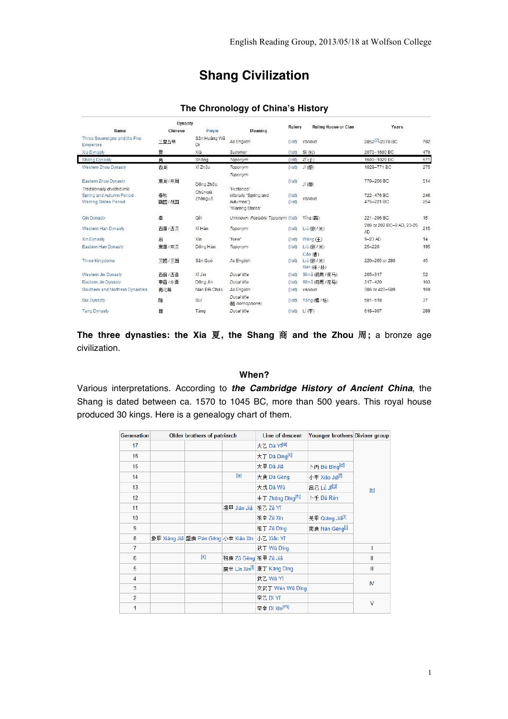# **Shang Civilization**

### **The Chronology of China's History**

| <b>Dynasty</b>                                           |             |                    |                                                         |                  | <b>Ruling House or Clan</b>             | Years                            |            |
|----------------------------------------------------------|-------------|--------------------|---------------------------------------------------------|------------------|-----------------------------------------|----------------------------------|------------|
| Name                                                     | Chinese     | Pinyin             | Meaning                                                 | <b>Rulers</b>    |                                         |                                  |            |
| Three Sovereigns and the Five<br><b>Emperors</b>         | 三皇五帝        | Sân Huáng Wǔ<br>Dì | As English                                              | (Iist)           | various                                 | 2852 <sup>[2]</sup> -2070 BC     | 782        |
| Xia Dynasty                                              | 夏           | Xià                | Summer                                                  | (Iist)           | Sì (姒)                                  | 2070-1600 BC                     | 470        |
| Shang Dynasty                                            | 商           | Shang              | Toponym                                                 | (Iist)           | ZI(7)                                   | 1600-1029 BC                     | 571        |
| Western Zhou Dynasty                                     | 西周          | Xī Zhou            | Toponym<br>Toponym                                      | (Iist)           | <b>Jī</b> (如)                           | 1029-771 BC                      | 275        |
| Eastern Zhou Dynasty<br>Traditionally divided into       | 東周/东周       | Dông Zhou          | "Histories"                                             | (Iist)           | Jī (胡)                                  | 770-256 BC                       | 514        |
| Spring and Autumn Period<br><b>Warring States Period</b> | 春秋<br>戰國/战国 | Chūngiū<br>Zhànguó | (literally "Spring and<br>Autumns")<br>"Warring States" | (Iist)<br>(Iist) | various                                 | 722-476 BC<br>475-221 BC         | 246<br>254 |
| Qin Dynasty                                              | 毒           | Qín                | Unknown, Possibly Toponym (list)                        |                  | Ying (繭)                                | 221-206 BC                       | 15         |
| Western Han Dynasty                                      | 西漢 / 西汉     | Xī Hàn             | Toponym                                                 | (Iist)           | Liú (劉 / 刘)                             | 206 or 202 BC-9 AD, 23-25<br>AD. | 215        |
| Xin Dynasty                                              | 新           | Xīn                | "New"                                                   | (Iist)           | Wáng $(F)$                              | $9-23$ AD                        | 14         |
| Eastern Han Dynasty                                      | 東運 / 东汉     | Dông Hàn           | Toponym                                                 | (Iist)           | Liú (劉 / 刘)                             | $25 - 220$                       | 195        |
| Three Kingdoms                                           | 三國 / 三国     | Sân Guó            | As English                                              | (Iist)           | $Cáo$ (曹)<br>Liú (劉 / 刘)<br>Sūn (孫 / 孙) | 220-265 or 280                   | 45         |
| Western Jin Dynasty                                      | 西晉 / 西晋     | Xī Jìn             | Ducal title                                             | (Iist)           | Sīmā (司馬 / 司马)                          | 265-317                          | 52         |
| Eastern Jin Dynasty                                      | 東晉 / 东晋     | Dông Jìn           | Ducal title                                             | (Iist)           | Sīmǎ (司馬 / 司马)                          | $317 - 420$                      | 103        |
| Southern and Northern Dynasties                          | 南北朝         | Nán Bếi Cháo       | As English                                              | (list)           | various                                 | 386 or 420-589                   | 169        |
| Sui Dynasty                                              | 隋           | Suí                | Ducal title<br>(随 homophone)                            | (Iist)           | Yáng (楊 /杨)                             | $581 - 618$                      | 37         |
| <b>Tang Dynasty</b>                                      | 唐           | Táng               | Ducal title                                             | (Iist)           | $Li$ (李)                                | 618-907                          | 289        |

**The three dynasties: the Xia** 夏**, the Shang** 商 **and the Zhou** 周**;** a bronze age civilization.

### **When?**

Various interpretations. According to *the Cambridge History of Ancient China*, the Shang is dated between ca. 1570 to 1045 BC, more than 500 years. This royal house produced 30 kings. Here is a genealogy chart of them.

| <b>Generation</b> | <b>Older brothers of patriarch</b> |                                                 |                      | Line of descent                        | Younger brothers Diviner group |                                                                                                                                                                                                                                                                                                                                                                                                                                                                                                                              |  |
|-------------------|------------------------------------|-------------------------------------------------|----------------------|----------------------------------------|--------------------------------|------------------------------------------------------------------------------------------------------------------------------------------------------------------------------------------------------------------------------------------------------------------------------------------------------------------------------------------------------------------------------------------------------------------------------------------------------------------------------------------------------------------------------|--|
| 17                |                                    |                                                 |                      | 大乙 Dà Yī <sup>[a]</sup>                |                                |                                                                                                                                                                                                                                                                                                                                                                                                                                                                                                                              |  |
| 16                |                                    |                                                 |                      | 大丁 Dà Dīng <sup>[C]</sup>              |                                |                                                                                                                                                                                                                                                                                                                                                                                                                                                                                                                              |  |
| 15                |                                    |                                                 |                      | 大甲 Dà Jiǎ                              | 卜丙 Bǔ Bǐng <sup>[d]</sup>      | $[b] % \begin{center} % \includegraphics[width=\linewidth]{imagesSupplemental_3.png} % \end{center} % \caption { % \textit{Def}_P = \textit{Def}_P \textit{Def}_P = \textit{Def}_P \textit{Def}_P = \textit{Def}_P \textit{Def}_P = \textit{Def}_P \textit{Def}_P = \textit{Def}_P \textit{Def}_P = \textit{Def}_P \textit{Def}_P = \textit{Def}_P \textit{Def}_P = \textit{Def}_P \textit{Def}_P = \textit{Def}_P \textit{Def}_P = \textit{Def}_P \textit{Def}_P = \textit{Def}_P \textit{Def}_P = \textit{Def}_P \textit{$ |  |
| 14                |                                    |                                                 | [e]                  | 大庚 Dà Gēng                             | 小甲 Xiǎo Jiǎ <sup>[f]</sup>     |                                                                                                                                                                                                                                                                                                                                                                                                                                                                                                                              |  |
| 13                |                                    |                                                 |                      | 大戊 Dà Wù                               | 몸근 Lǚ Jī <sup>[g]</sup>        |                                                                                                                                                                                                                                                                                                                                                                                                                                                                                                                              |  |
| 12                |                                    |                                                 |                      | 中丁 Zhōng Dīng <sup>[h]</sup>           | 卜壬 Bǔ Rén                      |                                                                                                                                                                                                                                                                                                                                                                                                                                                                                                                              |  |
| 11                |                                    |                                                 | 戔甲 Jiān Jiǎ          | 祖乙 Zǔ Yĩ                               |                                |                                                                                                                                                                                                                                                                                                                                                                                                                                                                                                                              |  |
| 10                |                                    |                                                 |                      | 祖辛 Zǔ Xīn                              | 羌甲 Qiāng Jiǎ <sup>[l]</sup>    |                                                                                                                                                                                                                                                                                                                                                                                                                                                                                                                              |  |
| 9                 |                                    |                                                 |                      | 祖丁 Zǔ Dīng                             | 南庚 Nán Gēng <sup>[j]</sup>     |                                                                                                                                                                                                                                                                                                                                                                                                                                                                                                                              |  |
| 8                 |                                    | 象甲 Xiàng Jiǎ 盤庚 Pán Gēng 小辛 Xiǎo Xīn 小乙 Xiǎo Yǐ |                      |                                        |                                |                                                                                                                                                                                                                                                                                                                                                                                                                                                                                                                              |  |
| $\overline{7}$    |                                    |                                                 |                      | 武丁 Wǔ Dīng                             |                                | т                                                                                                                                                                                                                                                                                                                                                                                                                                                                                                                            |  |
| 6                 |                                    | $[k]$                                           | 祖庚 Zǔ Gēng 祖甲 Zǔ Jiǎ |                                        |                                | Ш                                                                                                                                                                                                                                                                                                                                                                                                                                                                                                                            |  |
| 5                 |                                    |                                                 |                      | 廩辛 Lǐn Xīn <sup>[l]</sup> 康丁 Kāng Dīng |                                | Ш                                                                                                                                                                                                                                                                                                                                                                                                                                                                                                                            |  |
| 4                 |                                    |                                                 |                      | 武乙 Wǔ Yĩ                               |                                | IV                                                                                                                                                                                                                                                                                                                                                                                                                                                                                                                           |  |
| 3                 |                                    |                                                 |                      | 文武丁 Wén Wǔ Dīng                        |                                |                                                                                                                                                                                                                                                                                                                                                                                                                                                                                                                              |  |
| $\overline{2}$    |                                    |                                                 |                      | 帝乙 Di Yī                               |                                | $\vee$                                                                                                                                                                                                                                                                                                                                                                                                                                                                                                                       |  |
| 1                 |                                    |                                                 |                      | 帝辛 Di Xīn <sup>[m]</sup>               |                                |                                                                                                                                                                                                                                                                                                                                                                                                                                                                                                                              |  |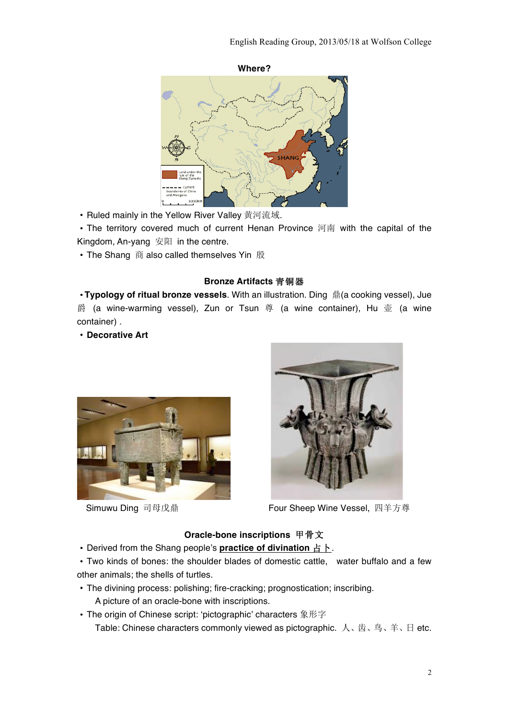

·Ruled mainly in the Yellow River Valley 黄河流域.

·The territory covered much of current Henan Province 河南 with the capital of the Kingdom, An-yang 安阳 in the centre.

·The Shang 商 also called themselves Yin 殷

#### **Bronze Artifacts** 青铜器

·**Typology of ritual bronze vessels**. With an illustration. Ding 鼎(a cooking vessel), Jue 爵 (a wine-warming vessel), Zun or Tsun 尊 (a wine container), Hu 壶 (a wine container) .

·**Decorative Art**





Simuwu Ding 司母戊鼎 Four Sheep Wine Vessel, 四羊方尊

#### **Oracle-bone inscriptions** 甲骨文

·Derived from the Shang people's **practice of divination** 占卜.

·Two kinds of bones: the shoulder blades of domestic cattle, water buffalo and a few other animals; the shells of turtles.

- ·The divining process: polishing; fire-cracking; prognostication; inscribing. A picture of an oracle-bone with inscriptions.
- ·The origin of Chinese script: 'pictographic' characters 象形字 Table: Chinese characters commonly viewed as pictographic. 人、齿、鸟、羊、日 etc.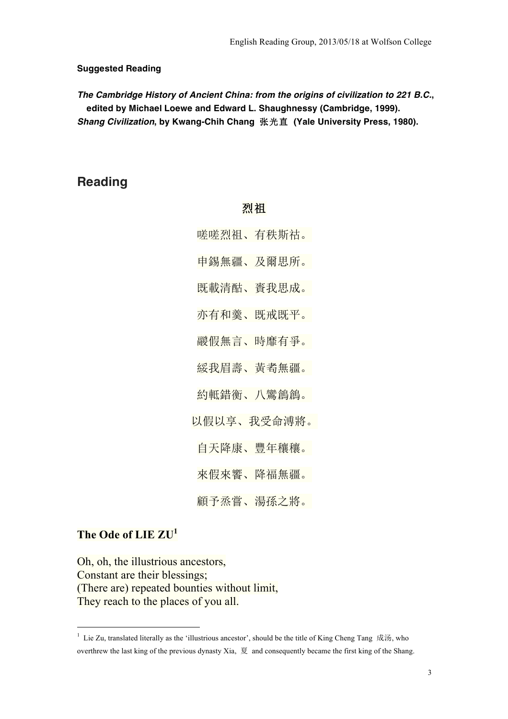#### **Suggested Reading**

*The Cambridge History of Ancient China: from the origins of civilization to 221 B.C.***, edited by Michael Loewe and Edward L. Shaughnessy (Cambridge, 1999).**  *Shang Civilization***, by Kwang-Chih Chang** 张光直 **(Yale University Press, 1980).**

## **Reading**

## 烈祖

- 嗟嗟烈祖、有秩斯祜。
- 申錫無疆、及爾思所。
- 既載清酤、賚我思成。
- 亦有和羹、既戒既平。
- 鬷假無言、時靡有爭。
- 綏我眉壽、黃耇無疆。
- 約軧錯衡、八鸞鶬鶬。
- 以假以享、我受命溥將。
- 自天降康、豐年穰穰。

來假來饗、降福無疆。

顧予烝嘗、湯孫之將。

## **The Ode of LIE ZU<sup>1</sup>**

Oh, oh, the illustrious ancestors, Constant are their blessings; (There are) repeated bounties without limit, They reach to the places of you all.

<sup>&</sup>lt;sup>1</sup> Lie Zu, translated literally as the 'illustrious ancestor', should be the title of King Cheng Tang 成汤, who overthrew the last king of the previous dynasty Xia, 夏 and consequently became the first king of the Shang.